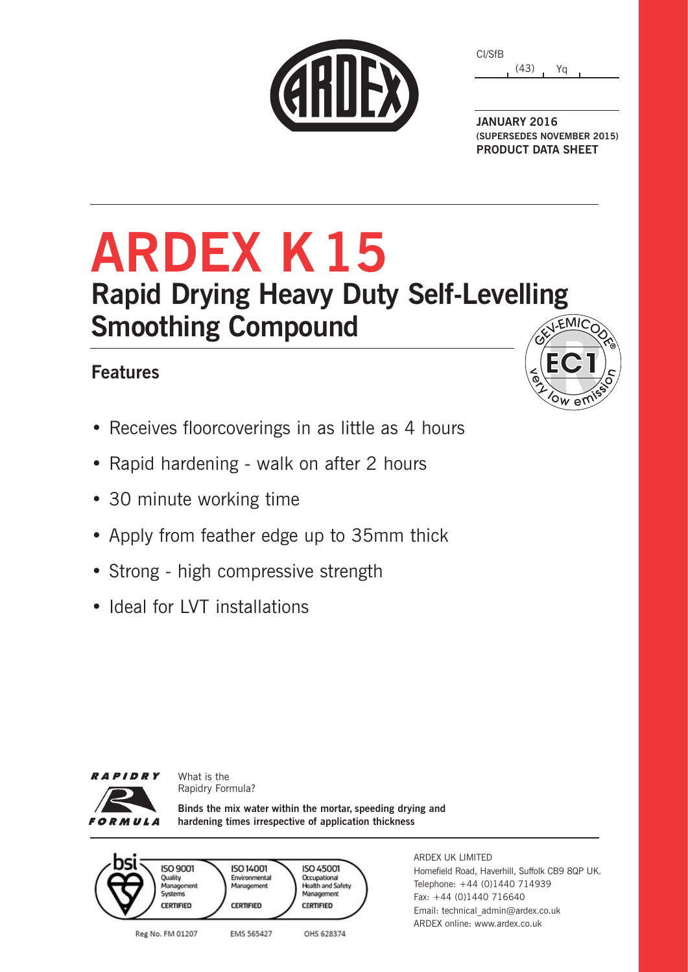|  | CARDE |  |
|--|-------|--|
|  |       |  |
|  |       |  |

(43) Yq CI/SfB

**JANUARY 2016 (SUPERSEDES NOVEMBER 2015) PRODUCT DATA SHEET**

# **ARDEX K15 Rapid Drying Heavy Duty Self-Levelling Smoothing Compound**

### **Features**

- Receives floorcoverings in as little as 4 hours
- Rapid hardening walk on after 2 hours
- 30 minute working time
- Apply from feather edge up to 35mm thick
- Strong high compressive strength
- Ideal for LVT installations

What is the Rapidry Formula?



**Binds the mix water within the mortar, speeding drying and hardening times irrespective of application thickness**



ARDEX UK LIMITED Homefield Road, Haverhill, Suffolk CB9 8QP UK. Telephone: +44 (0)1440 714939 Fax: +44 (0)1440 716640 Email: technical\_admin@ardex.co.uk ARDEX online: www.ardex.co.uk